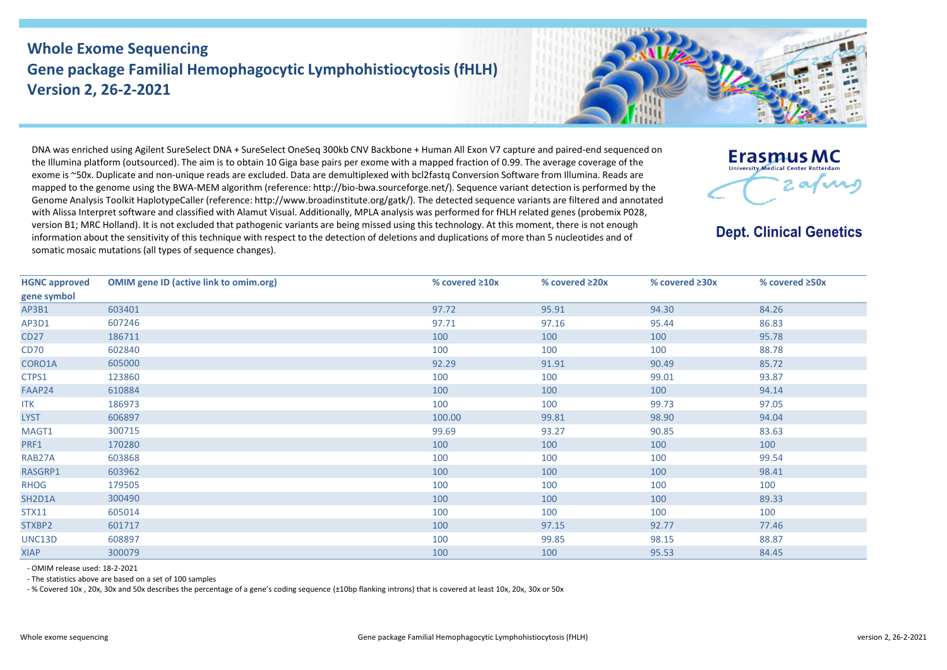## **Whole Exome Sequencing Gene package Familial Hemophagocytic Lymphohistiocytosis (fHLH) Version 2, 26-2-2021**



DNA was enriched using Agilent SureSelect DNA + SureSelect OneSeq 300kb CNV Backbone + Human All Exon V7 capture and paired-end sequenced on the Illumina platform (outsourced). The aim is to obtain 10 Giga base pairs per exome with a mapped fraction of 0.99. The average coverage of the exome is ~50x. Duplicate and non-unique reads are excluded. Data are demultiplexed with bcl2fastq Conversion Software from Illumina. Reads are mapped to the genome using the BWA-MEM algorithm (reference: http://bio-bwa.sourceforge.net/). Sequence variant detection is performed by the Genome Analysis Toolkit HaplotypeCaller (reference: http://www.broadinstitute.org/gatk/). The detected sequence variants are filtered and annotated with Alissa Interpret software and classified with Alamut Visual. Additionally, MPLA analysis was performed for fHLH related genes (probemix P028, version B1; MRC Holland). It is not excluded that pathogenic variants are being missed using this technology. At this moment, there is not enough information about the sensitivity of this technique with respect to the detection of deletions and duplications of more than 5 nucleotides and of somatic mosaic mutations (all types of sequence changes).



**Dept. Clinical Genetics** 

| <b>HGNC approved</b><br>gene symbol | <b>OMIM gene ID (active link to omim.org)</b> | % covered $\geq 10x$ | % covered $\geq 20x$ | % covered $\geq 30x$ | % covered $\geq$ 50x |
|-------------------------------------|-----------------------------------------------|----------------------|----------------------|----------------------|----------------------|
| AP3B1                               | 603401                                        | 97.72                | 95.91                | 94.30                | 84.26                |
| AP3D1                               | 607246                                        | 97.71                | 97.16                | 95.44                | 86.83                |
| CD27                                | 186711                                        | 100                  | 100                  | 100                  | 95.78                |
| <b>CD70</b>                         | 602840                                        | 100                  | 100                  | 100                  | 88.78                |
| CORO1A                              | 605000                                        | 92.29                | 91.91                | 90.49                | 85.72                |
| CTPS1                               | 123860                                        | 100                  | 100                  | 99.01                | 93.87                |
| FAAP24                              | 610884                                        | 100                  | 100                  | 100                  | 94.14                |
| <b>ITK</b>                          | 186973                                        | 100                  | 100                  | 99.73                | 97.05                |
| <b>LYST</b>                         | 606897                                        | 100.00               | 99.81                | 98.90                | 94.04                |
| MAGT1                               | 300715                                        | 99.69                | 93.27                | 90.85                | 83.63                |
| PRF1                                | 170280                                        | 100                  | 100                  | 100                  | 100                  |
| RAB27A                              | 603868                                        | 100                  | 100                  | 100                  | 99.54                |
| RASGRP1                             | 603962                                        | 100                  | 100                  | 100                  | 98.41                |
| RHOG                                | 179505                                        | 100                  | 100                  | 100                  | 100                  |
| SH2D1A                              | 300490                                        | 100                  | 100                  | 100                  | 89.33                |
| STX11                               | 605014                                        | 100                  | 100                  | 100                  | 100                  |
| STXBP2                              | 601717                                        | 100                  | 97.15                | 92.77                | 77.46                |
| UNC13D                              | 608897                                        | 100                  | 99.85                | 98.15                | 88.87                |
| <b>XIAP</b>                         | 300079                                        | 100                  | 100                  | 95.53                | 84.45                |

- OMIM release used: 18-2-2021

- The statistics above are based on a set of 100 samples

- % Covered 10x , 20x, 30x and 50x describes the percentage of a gene's coding sequence (±10bp flanking introns) that is covered at least 10x, 20x, 30x or 50x